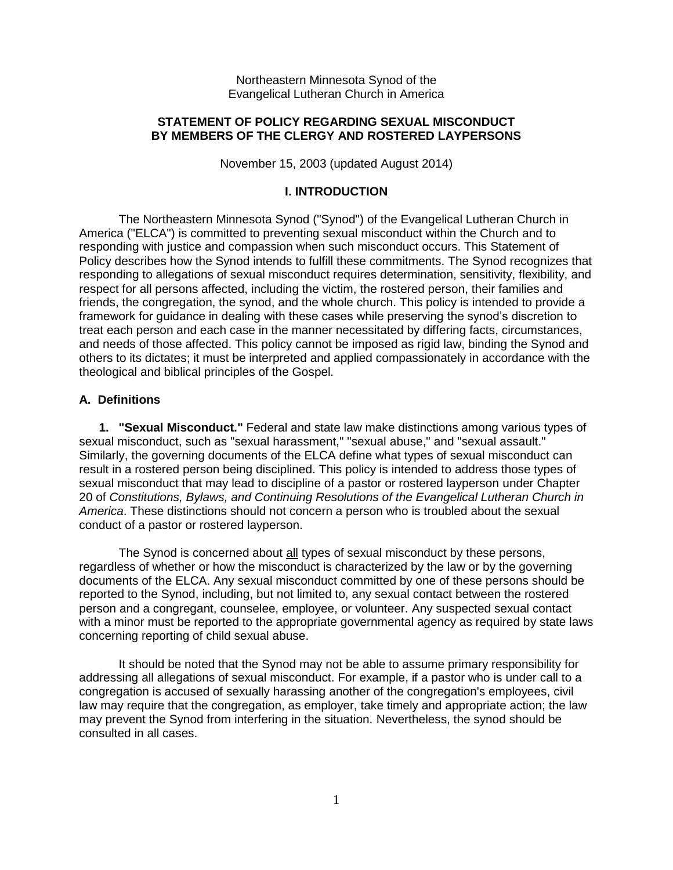Northeastern Minnesota Synod of the Evangelical Lutheran Church in America

### **STATEMENT OF POLICY REGARDING SEXUAL MISCONDUCT BY MEMBERS OF THE CLERGY AND ROSTERED LAYPERSONS**

November 15, 2003 (updated August 2014)

### **I. INTRODUCTION**

The Northeastern Minnesota Synod ("Synod") of the Evangelical Lutheran Church in America ("ELCA") is committed to preventing sexual misconduct within the Church and to responding with justice and compassion when such misconduct occurs. This Statement of Policy describes how the Synod intends to fulfill these commitments. The Synod recognizes that responding to allegations of sexual misconduct requires determination, sensitivity, flexibility, and respect for all persons affected, including the victim, the rostered person, their families and friends, the congregation, the synod, and the whole church. This policy is intended to provide a framework for guidance in dealing with these cases while preserving the synod's discretion to treat each person and each case in the manner necessitated by differing facts, circumstances, and needs of those affected. This policy cannot be imposed as rigid law, binding the Synod and others to its dictates; it must be interpreted and applied compassionately in accordance with the theological and biblical principles of the Gospel.

# **A. Definitions**

**1. "Sexual Misconduct."** Federal and state law make distinctions among various types of sexual misconduct, such as "sexual harassment," "sexual abuse," and "sexual assault." Similarly, the governing documents of the ELCA define what types of sexual misconduct can result in a rostered person being disciplined. This policy is intended to address those types of sexual misconduct that may lead to discipline of a pastor or rostered layperson under Chapter 20 of *Constitutions, Bylaws, and Continuing Resolutions of the Evangelical Lutheran Church in America*. These distinctions should not concern a person who is troubled about the sexual conduct of a pastor or rostered layperson.

The Synod is concerned about all types of sexual misconduct by these persons, regardless of whether or how the misconduct is characterized by the law or by the governing documents of the ELCA. Any sexual misconduct committed by one of these persons should be reported to the Synod, including, but not limited to, any sexual contact between the rostered person and a congregant, counselee, employee, or volunteer. Any suspected sexual contact with a minor must be reported to the appropriate governmental agency as required by state laws concerning reporting of child sexual abuse.

It should be noted that the Synod may not be able to assume primary responsibility for addressing all allegations of sexual misconduct. For example, if a pastor who is under call to a congregation is accused of sexually harassing another of the congregation's employees, civil law may require that the congregation, as employer, take timely and appropriate action; the law may prevent the Synod from interfering in the situation. Nevertheless, the synod should be consulted in all cases.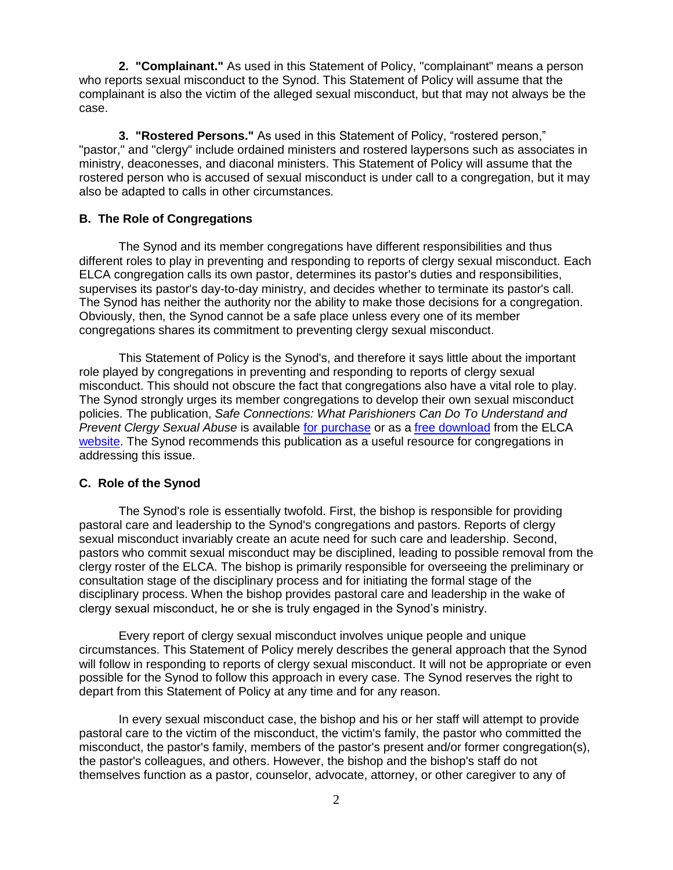**2. "Complainant."** As used in this Statement of Policy, "complainant" means a person who reports sexual misconduct to the Synod. This Statement of Policy will assume that the complainant is also the victim of the alleged sexual misconduct, but that may not always be the case.

**3. "Rostered Persons."** As used in this Statement of Policy, "rostered person," "pastor," and "clergy" include ordained ministers and rostered laypersons such as associates in ministry, deaconesses, and diaconal ministers. This Statement of Policy will assume that the rostered person who is accused of sexual misconduct is under call to a congregation, but it may also be adapted to calls in other circumstances.

### **B. The Role of Congregations**

The Synod and its member congregations have different responsibilities and thus different roles to play in preventing and responding to reports of clergy sexual misconduct. Each ELCA congregation calls its own pastor, determines its pastor's duties and responsibilities, supervises its pastor's day-to-day ministry, and decides whether to terminate its pastor's call. The Synod has neither the authority nor the ability to make those decisions for a congregation. Obviously, then, the Synod cannot be a safe place unless every one of its member congregations shares its commitment to preventing clergy sexual misconduct.

This Statement of Policy is the Synod's, and therefore it says little about the important role played by congregations in preventing and responding to reports of clergy sexual misconduct. This should not obscure the fact that congregations also have a vital role to play. The Synod strongly urges its member congregations to develop their own sexual misconduct policies. The publication, *Safe Connections: What Parishioners Can Do To Understand and Prevent Clergy Sexual Abuse* is available [for purchase](http://resources.elca.org/Social_Issues-Safe_Connections.html) or as a [free download](http://download.elca.org/ELCA%20Resource%20Repository/Safe_Connections.pdf) from the ELCA [website.](http://www.elca.org/) The Synod recommends this publication as a useful resource for congregations in addressing this issue.

### **C. Role of the Synod**

The Synod's role is essentially twofold. First, the bishop is responsible for providing pastoral care and leadership to the Synod's congregations and pastors. Reports of clergy sexual misconduct invariably create an acute need for such care and leadership. Second, pastors who commit sexual misconduct may be disciplined, leading to possible removal from the clergy roster of the ELCA. The bishop is primarily responsible for overseeing the preliminary or consultation stage of the disciplinary process and for initiating the formal stage of the disciplinary process. When the bishop provides pastoral care and leadership in the wake of clergy sexual misconduct, he or she is truly engaged in the Synod's ministry.

Every report of clergy sexual misconduct involves unique people and unique circumstances. This Statement of Policy merely describes the general approach that the Synod will follow in responding to reports of clergy sexual misconduct. It will not be appropriate or even possible for the Synod to follow this approach in every case. The Synod reserves the right to depart from this Statement of Policy at any time and for any reason.

In every sexual misconduct case, the bishop and his or her staff will attempt to provide pastoral care to the victim of the misconduct, the victim's family, the pastor who committed the misconduct, the pastor's family, members of the pastor's present and/or former congregation(s), the pastor's colleagues, and others. However, the bishop and the bishop's staff do not themselves function as a pastor, counselor, advocate, attorney, or other caregiver to any of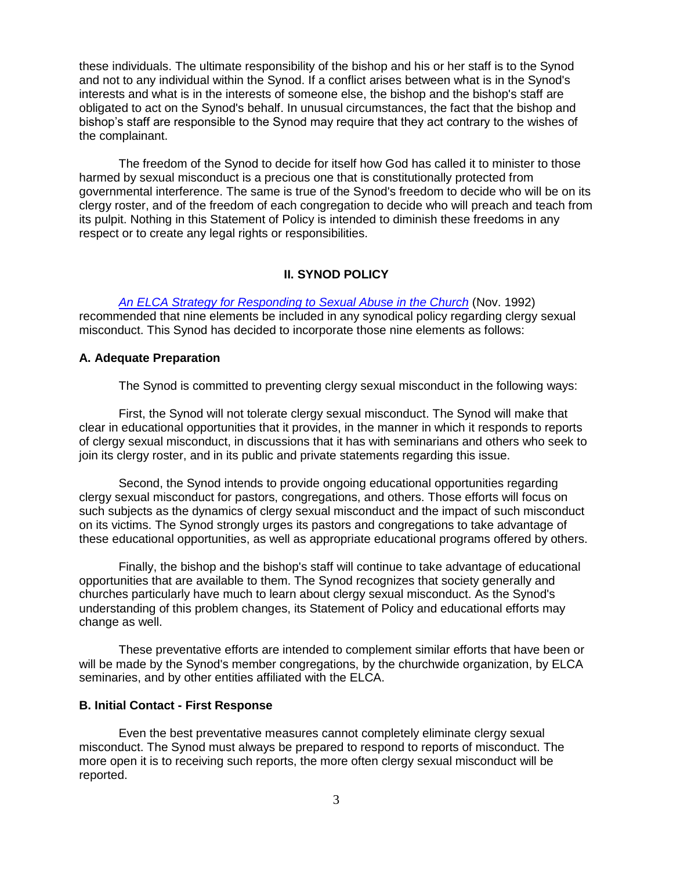these individuals. The ultimate responsibility of the bishop and his or her staff is to the Synod and not to any individual within the Synod. If a conflict arises between what is in the Synod's interests and what is in the interests of someone else, the bishop and the bishop's staff are obligated to act on the Synod's behalf. In unusual circumstances, the fact that the bishop and bishop's staff are responsible to the Synod may require that they act contrary to the wishes of the complainant.

The freedom of the Synod to decide for itself how God has called it to minister to those harmed by sexual misconduct is a precious one that is constitutionally protected from governmental interference. The same is true of the Synod's freedom to decide who will be on its clergy roster, and of the freedom of each congregation to decide who will preach and teach from its pulpit. Nothing in this Statement of Policy is intended to diminish these freedoms in any respect or to create any legal rights or responsibilities.

# **II. SYNOD POLICY**

*[An ELCA Strategy for Responding to Sexual Abuse in the Church](http://download.elca.org/ELCA%20Resource%20Repository/ELCA_Strategy_for_Sexual_Abuse_in_Church.pdf)* (Nov. 1992) recommended that nine elements be included in any synodical policy regarding clergy sexual misconduct. This Synod has decided to incorporate those nine elements as follows:

### **A. Adequate Preparation**

The Synod is committed to preventing clergy sexual misconduct in the following ways:

First, the Synod will not tolerate clergy sexual misconduct. The Synod will make that clear in educational opportunities that it provides, in the manner in which it responds to reports of clergy sexual misconduct, in discussions that it has with seminarians and others who seek to join its clergy roster, and in its public and private statements regarding this issue.

Second, the Synod intends to provide ongoing educational opportunities regarding clergy sexual misconduct for pastors, congregations, and others. Those efforts will focus on such subjects as the dynamics of clergy sexual misconduct and the impact of such misconduct on its victims. The Synod strongly urges its pastors and congregations to take advantage of these educational opportunities, as well as appropriate educational programs offered by others.

Finally, the bishop and the bishop's staff will continue to take advantage of educational opportunities that are available to them. The Synod recognizes that society generally and churches particularly have much to learn about clergy sexual misconduct. As the Synod's understanding of this problem changes, its Statement of Policy and educational efforts may change as well.

These preventative efforts are intended to complement similar efforts that have been or will be made by the Synod's member congregations, by the churchwide organization, by ELCA seminaries, and by other entities affiliated with the ELCA.

#### **B. Initial Contact - First Response**

Even the best preventative measures cannot completely eliminate clergy sexual misconduct. The Synod must always be prepared to respond to reports of misconduct. The more open it is to receiving such reports, the more often clergy sexual misconduct will be reported.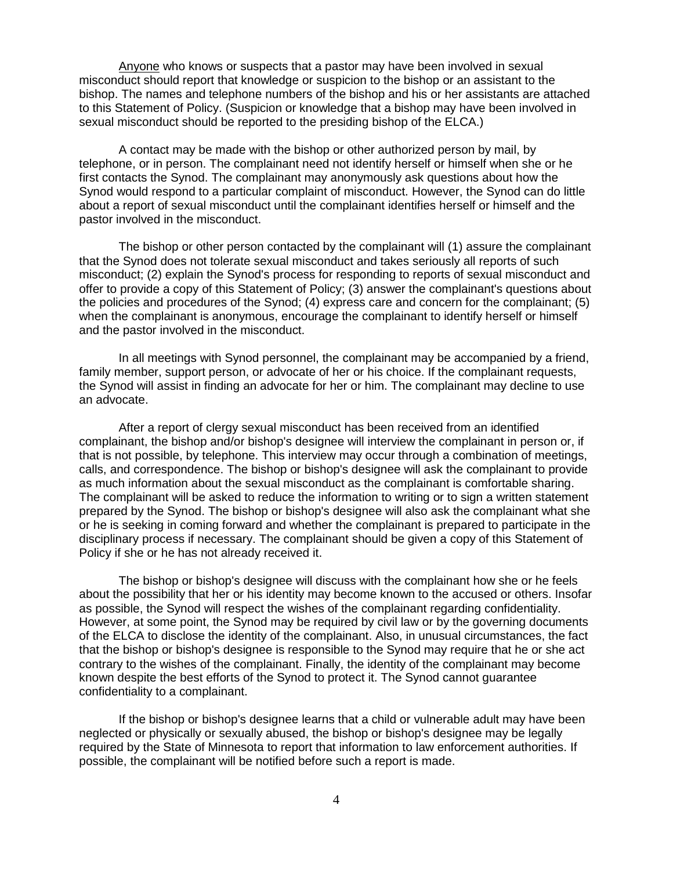Anyone who knows or suspects that a pastor may have been involved in sexual misconduct should report that knowledge or suspicion to the bishop or an assistant to the bishop. The names and telephone numbers of the bishop and his or her assistants are attached to this Statement of Policy. (Suspicion or knowledge that a bishop may have been involved in sexual misconduct should be reported to the presiding bishop of the ELCA.)

A contact may be made with the bishop or other authorized person by mail, by telephone, or in person. The complainant need not identify herself or himself when she or he first contacts the Synod. The complainant may anonymously ask questions about how the Synod would respond to a particular complaint of misconduct. However, the Synod can do little about a report of sexual misconduct until the complainant identifies herself or himself and the pastor involved in the misconduct.

The bishop or other person contacted by the complainant will (1) assure the complainant that the Synod does not tolerate sexual misconduct and takes seriously all reports of such misconduct; (2) explain the Synod's process for responding to reports of sexual misconduct and offer to provide a copy of this Statement of Policy; (3) answer the complainant's questions about the policies and procedures of the Synod; (4) express care and concern for the complainant; (5) when the complainant is anonymous, encourage the complainant to identify herself or himself and the pastor involved in the misconduct.

In all meetings with Synod personnel, the complainant may be accompanied by a friend, family member, support person, or advocate of her or his choice. If the complainant requests, the Synod will assist in finding an advocate for her or him. The complainant may decline to use an advocate.

After a report of clergy sexual misconduct has been received from an identified complainant, the bishop and/or bishop's designee will interview the complainant in person or, if that is not possible, by telephone. This interview may occur through a combination of meetings, calls, and correspondence. The bishop or bishop's designee will ask the complainant to provide as much information about the sexual misconduct as the complainant is comfortable sharing. The complainant will be asked to reduce the information to writing or to sign a written statement prepared by the Synod. The bishop or bishop's designee will also ask the complainant what she or he is seeking in coming forward and whether the complainant is prepared to participate in the disciplinary process if necessary. The complainant should be given a copy of this Statement of Policy if she or he has not already received it.

The bishop or bishop's designee will discuss with the complainant how she or he feels about the possibility that her or his identity may become known to the accused or others. Insofar as possible, the Synod will respect the wishes of the complainant regarding confidentiality. However, at some point, the Synod may be required by civil law or by the governing documents of the ELCA to disclose the identity of the complainant. Also, in unusual circumstances, the fact that the bishop or bishop's designee is responsible to the Synod may require that he or she act contrary to the wishes of the complainant. Finally, the identity of the complainant may become known despite the best efforts of the Synod to protect it. The Synod cannot guarantee confidentiality to a complainant.

If the bishop or bishop's designee learns that a child or vulnerable adult may have been neglected or physically or sexually abused, the bishop or bishop's designee may be legally required by the State of Minnesota to report that information to law enforcement authorities. If possible, the complainant will be notified before such a report is made.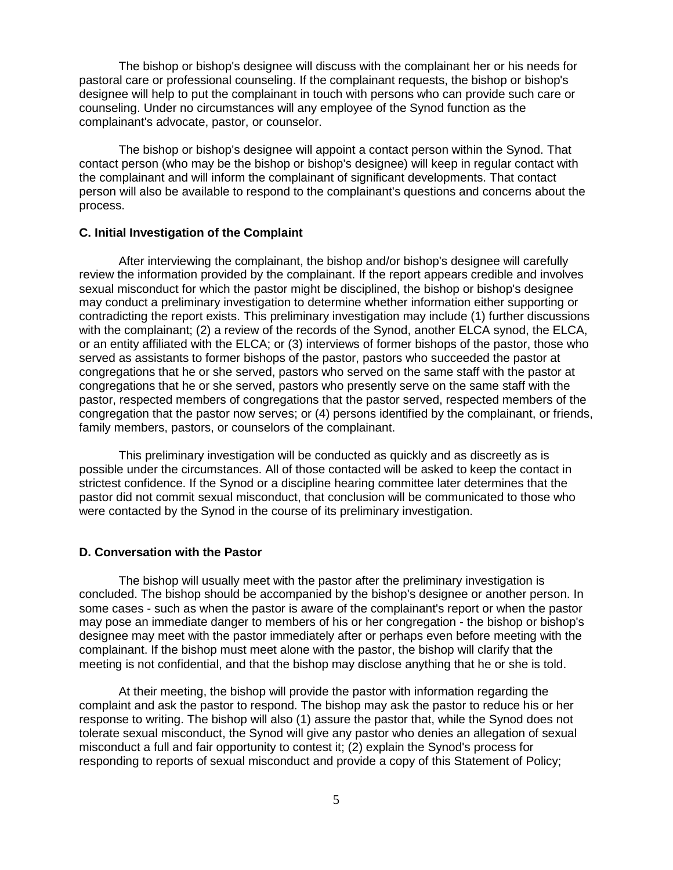The bishop or bishop's designee will discuss with the complainant her or his needs for pastoral care or professional counseling. If the complainant requests, the bishop or bishop's designee will help to put the complainant in touch with persons who can provide such care or counseling. Under no circumstances will any employee of the Synod function as the complainant's advocate, pastor, or counselor.

The bishop or bishop's designee will appoint a contact person within the Synod. That contact person (who may be the bishop or bishop's designee) will keep in regular contact with the complainant and will inform the complainant of significant developments. That contact person will also be available to respond to the complainant's questions and concerns about the process.

### **C. Initial Investigation of the Complaint**

After interviewing the complainant, the bishop and/or bishop's designee will carefully review the information provided by the complainant. If the report appears credible and involves sexual misconduct for which the pastor might be disciplined, the bishop or bishop's designee may conduct a preliminary investigation to determine whether information either supporting or contradicting the report exists. This preliminary investigation may include (1) further discussions with the complainant; (2) a review of the records of the Synod, another ELCA synod, the ELCA, or an entity affiliated with the ELCA; or (3) interviews of former bishops of the pastor, those who served as assistants to former bishops of the pastor, pastors who succeeded the pastor at congregations that he or she served, pastors who served on the same staff with the pastor at congregations that he or she served, pastors who presently serve on the same staff with the pastor, respected members of congregations that the pastor served, respected members of the congregation that the pastor now serves; or (4) persons identified by the complainant, or friends, family members, pastors, or counselors of the complainant.

This preliminary investigation will be conducted as quickly and as discreetly as is possible under the circumstances. All of those contacted will be asked to keep the contact in strictest confidence. If the Synod or a discipline hearing committee later determines that the pastor did not commit sexual misconduct, that conclusion will be communicated to those who were contacted by the Synod in the course of its preliminary investigation.

### **D. Conversation with the Pastor**

The bishop will usually meet with the pastor after the preliminary investigation is concluded. The bishop should be accompanied by the bishop's designee or another person. In some cases - such as when the pastor is aware of the complainant's report or when the pastor may pose an immediate danger to members of his or her congregation - the bishop or bishop's designee may meet with the pastor immediately after or perhaps even before meeting with the complainant. If the bishop must meet alone with the pastor, the bishop will clarify that the meeting is not confidential, and that the bishop may disclose anything that he or she is told.

At their meeting, the bishop will provide the pastor with information regarding the complaint and ask the pastor to respond. The bishop may ask the pastor to reduce his or her response to writing. The bishop will also (1) assure the pastor that, while the Synod does not tolerate sexual misconduct, the Synod will give any pastor who denies an allegation of sexual misconduct a full and fair opportunity to contest it; (2) explain the Synod's process for responding to reports of sexual misconduct and provide a copy of this Statement of Policy;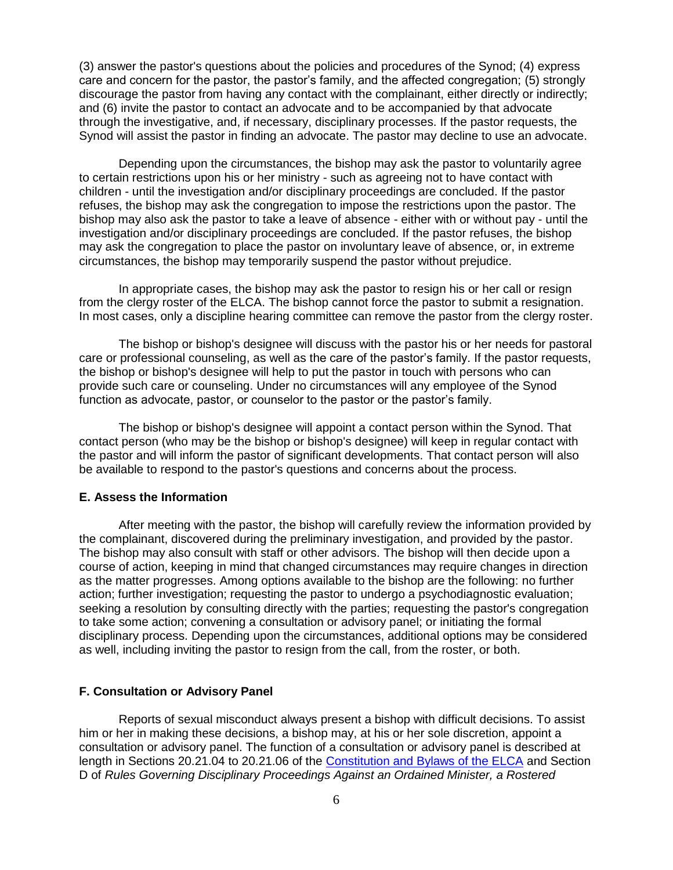(3) answer the pastor's questions about the policies and procedures of the Synod; (4) express care and concern for the pastor, the pastor's family, and the affected congregation; (5) strongly discourage the pastor from having any contact with the complainant, either directly or indirectly; and (6) invite the pastor to contact an advocate and to be accompanied by that advocate through the investigative, and, if necessary, disciplinary processes. If the pastor requests, the Synod will assist the pastor in finding an advocate. The pastor may decline to use an advocate.

Depending upon the circumstances, the bishop may ask the pastor to voluntarily agree to certain restrictions upon his or her ministry - such as agreeing not to have contact with children - until the investigation and/or disciplinary proceedings are concluded. If the pastor refuses, the bishop may ask the congregation to impose the restrictions upon the pastor. The bishop may also ask the pastor to take a leave of absence - either with or without pay - until the investigation and/or disciplinary proceedings are concluded. If the pastor refuses, the bishop may ask the congregation to place the pastor on involuntary leave of absence, or, in extreme circumstances, the bishop may temporarily suspend the pastor without prejudice.

In appropriate cases, the bishop may ask the pastor to resign his or her call or resign from the clergy roster of the ELCA. The bishop cannot force the pastor to submit a resignation. In most cases, only a discipline hearing committee can remove the pastor from the clergy roster.

The bishop or bishop's designee will discuss with the pastor his or her needs for pastoral care or professional counseling, as well as the care of the pastor's family. If the pastor requests, the bishop or bishop's designee will help to put the pastor in touch with persons who can provide such care or counseling. Under no circumstances will any employee of the Synod function as advocate, pastor, or counselor to the pastor or the pastor's family.

The bishop or bishop's designee will appoint a contact person within the Synod. That contact person (who may be the bishop or bishop's designee) will keep in regular contact with the pastor and will inform the pastor of significant developments. That contact person will also be available to respond to the pastor's questions and concerns about the process.

### **E. Assess the Information**

After meeting with the pastor, the bishop will carefully review the information provided by the complainant, discovered during the preliminary investigation, and provided by the pastor. The bishop may also consult with staff or other advisors. The bishop will then decide upon a course of action, keeping in mind that changed circumstances may require changes in direction as the matter progresses. Among options available to the bishop are the following: no further action; further investigation; requesting the pastor to undergo a psychodiagnostic evaluation; seeking a resolution by consulting directly with the parties; requesting the pastor's congregation to take some action; convening a consultation or advisory panel; or initiating the formal disciplinary process. Depending upon the circumstances, additional options may be considered as well, including inviting the pastor to resign from the call, from the roster, or both.

### **F. Consultation or Advisory Panel**

Reports of sexual misconduct always present a bishop with difficult decisions. To assist him or her in making these decisions, a bishop may, at his or her sole discretion, appoint a consultation or advisory panel. The function of a consultation or advisory panel is described at length in Sections 20.21.04 to 20.21.06 of the [Constitution and Bylaws of the ELCA](http://www.elca.org/About/Churchwide/Office-of-the-Secretary/Constitutions) and Section D of *Rules Governing Disciplinary Proceedings Against an Ordained Minister, a Rostered*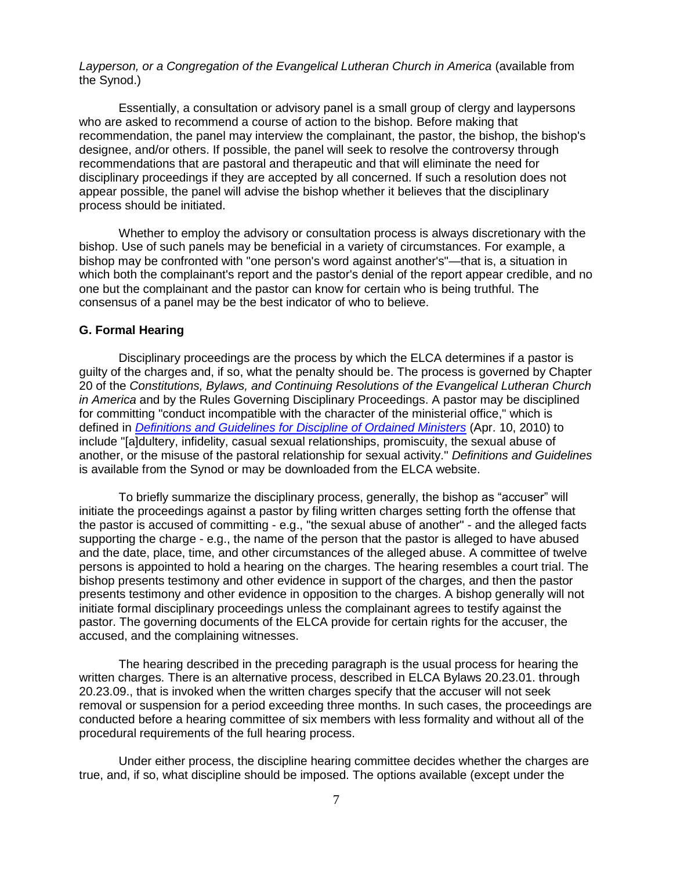*Layperson, or a Congregation of the Evangelical Lutheran Church in America* (available from the Synod.)

Essentially, a consultation or advisory panel is a small group of clergy and laypersons who are asked to recommend a course of action to the bishop. Before making that recommendation, the panel may interview the complainant, the pastor, the bishop, the bishop's designee, and/or others. If possible, the panel will seek to resolve the controversy through recommendations that are pastoral and therapeutic and that will eliminate the need for disciplinary proceedings if they are accepted by all concerned. If such a resolution does not appear possible, the panel will advise the bishop whether it believes that the disciplinary process should be initiated.

Whether to employ the advisory or consultation process is always discretionary with the bishop. Use of such panels may be beneficial in a variety of circumstances. For example, a bishop may be confronted with "one person's word against another's"—that is, a situation in which both the complainant's report and the pastor's denial of the report appear credible, and no one but the complainant and the pastor can know for certain who is being truthful. The consensus of a panel may be the best indicator of who to believe.

#### **G. Formal Hearing**

Disciplinary proceedings are the process by which the ELCA determines if a pastor is guilty of the charges and, if so, what the penalty should be. The process is governed by Chapter 20 of the *Constitutions, Bylaws, and Continuing Resolutions of the Evangelical Lutheran Church in America* and by the Rules Governing Disciplinary Proceedings. A pastor may be disciplined for committing "conduct incompatible with the character of the ministerial office," which is defined in *[Definitions and Guidelines for Discipline of Ordained Ministers](http://download.elca.org/ELCA%20Resource%20Repository/Definitions_and_Guidelines.pdf)* (Apr. 10, 2010) to include "[a]dultery, infidelity, casual sexual relationships, promiscuity, the sexual abuse of another, or the misuse of the pastoral relationship for sexual activity." *Definitions and Guidelines* is available from the Synod or may be downloaded from the ELCA website.

To briefly summarize the disciplinary process, generally, the bishop as "accuser" will initiate the proceedings against a pastor by filing written charges setting forth the offense that the pastor is accused of committing - e.g., "the sexual abuse of another" - and the alleged facts supporting the charge - e.g., the name of the person that the pastor is alleged to have abused and the date, place, time, and other circumstances of the alleged abuse. A committee of twelve persons is appointed to hold a hearing on the charges. The hearing resembles a court trial. The bishop presents testimony and other evidence in support of the charges, and then the pastor presents testimony and other evidence in opposition to the charges. A bishop generally will not initiate formal disciplinary proceedings unless the complainant agrees to testify against the pastor. The governing documents of the ELCA provide for certain rights for the accuser, the accused, and the complaining witnesses.

The hearing described in the preceding paragraph is the usual process for hearing the written charges. There is an alternative process, described in ELCA Bylaws 20.23.01. through 20.23.09., that is invoked when the written charges specify that the accuser will not seek removal or suspension for a period exceeding three months. In such cases, the proceedings are conducted before a hearing committee of six members with less formality and without all of the procedural requirements of the full hearing process.

Under either process, the discipline hearing committee decides whether the charges are true, and, if so, what discipline should be imposed. The options available (except under the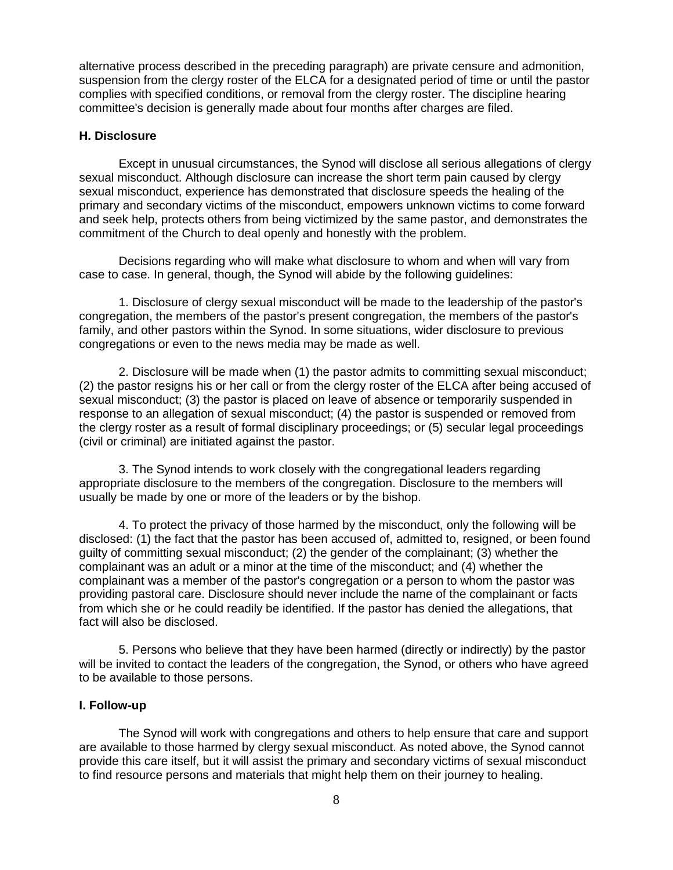alternative process described in the preceding paragraph) are private censure and admonition, suspension from the clergy roster of the ELCA for a designated period of time or until the pastor complies with specified conditions, or removal from the clergy roster. The discipline hearing committee's decision is generally made about four months after charges are filed.

# **H. Disclosure**

Except in unusual circumstances, the Synod will disclose all serious allegations of clergy sexual misconduct. Although disclosure can increase the short term pain caused by clergy sexual misconduct, experience has demonstrated that disclosure speeds the healing of the primary and secondary victims of the misconduct, empowers unknown victims to come forward and seek help, protects others from being victimized by the same pastor, and demonstrates the commitment of the Church to deal openly and honestly with the problem.

Decisions regarding who will make what disclosure to whom and when will vary from case to case. In general, though, the Synod will abide by the following guidelines:

1. Disclosure of clergy sexual misconduct will be made to the leadership of the pastor's congregation, the members of the pastor's present congregation, the members of the pastor's family, and other pastors within the Synod. In some situations, wider disclosure to previous congregations or even to the news media may be made as well.

2. Disclosure will be made when (1) the pastor admits to committing sexual misconduct; (2) the pastor resigns his or her call or from the clergy roster of the ELCA after being accused of sexual misconduct; (3) the pastor is placed on leave of absence or temporarily suspended in response to an allegation of sexual misconduct; (4) the pastor is suspended or removed from the clergy roster as a result of formal disciplinary proceedings; or (5) secular legal proceedings (civil or criminal) are initiated against the pastor.

3. The Synod intends to work closely with the congregational leaders regarding appropriate disclosure to the members of the congregation. Disclosure to the members will usually be made by one or more of the leaders or by the bishop.

4. To protect the privacy of those harmed by the misconduct, only the following will be disclosed: (1) the fact that the pastor has been accused of, admitted to, resigned, or been found guilty of committing sexual misconduct; (2) the gender of the complainant; (3) whether the complainant was an adult or a minor at the time of the misconduct; and (4) whether the complainant was a member of the pastor's congregation or a person to whom the pastor was providing pastoral care. Disclosure should never include the name of the complainant or facts from which she or he could readily be identified. If the pastor has denied the allegations, that fact will also be disclosed.

5. Persons who believe that they have been harmed (directly or indirectly) by the pastor will be invited to contact the leaders of the congregation, the Synod, or others who have agreed to be available to those persons.

### **I. Follow-up**

The Synod will work with congregations and others to help ensure that care and support are available to those harmed by clergy sexual misconduct. As noted above, the Synod cannot provide this care itself, but it will assist the primary and secondary victims of sexual misconduct to find resource persons and materials that might help them on their journey to healing.